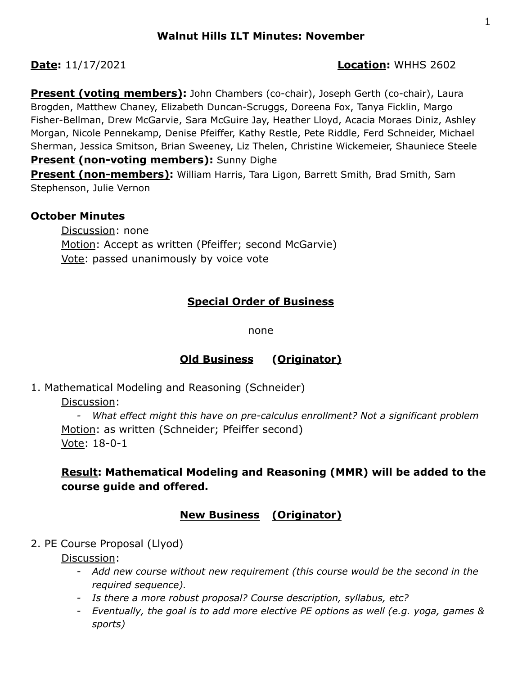#### **Date:** 11/17/2021 **Location:** WHHS 2602

**Present (voting members):** John Chambers (co-chair), Joseph Gerth (co-chair), Laura Brogden, Matthew Chaney, Elizabeth Duncan-Scruggs, Doreena Fox, Tanya Ficklin, Margo Fisher-Bellman, Drew McGarvie, Sara McGuire Jay, Heather Lloyd, Acacia Moraes Diniz, Ashley Morgan, Nicole Pennekamp, Denise Pfeiffer, Kathy Restle, Pete Riddle, Ferd Schneider, Michael Sherman, Jessica Smitson, Brian Sweeney, Liz Thelen, Christine Wickemeier, Shauniece Steele **Present (non-voting members):** Sunny Dighe

**Present (non-members):** William Harris, Tara Ligon, Barrett Smith, Brad Smith, Sam Stephenson, Julie Vernon

## **October Minutes**

Discussion: none Motion: Accept as written (Pfeiffer; second McGarvie) Vote: passed unanimously by voice vote

# **Special Order of Business**

none

# **Old Business (Originator)**

1. Mathematical Modeling and Reasoning (Schneider)

Discussion:

*- What effect might this have on pre-calculus enrollment? Not a significant problem* Motion: as written (Schneider; Pfeiffer second) Vote: 18-0-1

# **Result: Mathematical Modeling and Reasoning (MMR) will be added to the course guide and offered.**

# **New Business (Originator)**

2. PE Course Proposal (Llyod)

Discussion:

- *- Add new course without new requirement (this course would be the second in the required sequence).*
- *- Is there a more robust proposal? Course description, syllabus, etc?*
- *- Eventually, the goal is to add more elective PE options as well (e.g. yoga, games & sports)*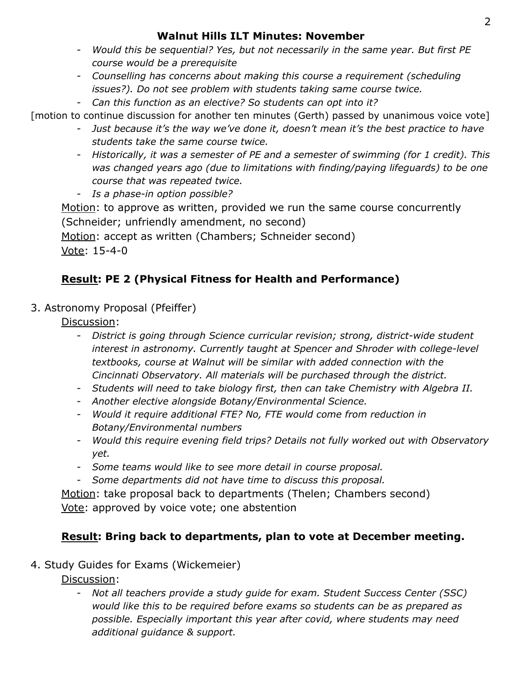## **Walnut Hills ILT Minutes: November**

- *- Would this be sequential? Yes, but not necessarily in the same year. But first PE course would be a prerequisite*
- *- Counselling has concerns about making this course a requirement (scheduling issues?). Do not see problem with students taking same course twice.*
- *- Can this function as an elective? So students can opt into it?*

[motion to continue discussion for another ten minutes (Gerth) passed by unanimous voice vote]

- *- Just because it's the way we've done it, doesn't mean it's the best practice to have students take the same course twice.*
- *- Historically, it was a semester of PE and a semester of swimming (for 1 credit). This was changed years ago (due to limitations with finding/paying lifeguards) to be one course that was repeated twice.*
- *- Is a phase-in option possible?*

Motion: to approve as written, provided we run the same course concurrently (Schneider; unfriendly amendment, no second)

Motion: accept as written (Chambers; Schneider second) Vote: 15-4-0

# **Result: PE 2 (Physical Fitness for Health and Performance)**

3. Astronomy Proposal (Pfeiffer)

Discussion:

- *- District is going through Science curricular revision; strong, district-wide student interest in astronomy. Currently taught at Spencer and Shroder with college-level textbooks, course at Walnut will be similar with added connection with the Cincinnati Observatory. All materials will be purchased through the district.*
- *- Students will need to take biology first, then can take Chemistry with Algebra II.*
- *- Another elective alongside Botany/Environmental Science.*
- *- Would it require additional FTE? No, FTE would come from reduction in Botany/Environmental numbers*
- *- Would this require evening field trips? Details not fully worked out with Observatory yet.*
- *- Some teams would like to see more detail in course proposal.*
- *- Some departments did not have time to discuss this proposal.*

Motion: take proposal back to departments (Thelen; Chambers second) Vote: approved by voice vote; one abstention

# **Result: Bring back to departments, plan to vote at December meeting.**

# 4. Study Guides for Exams (Wickemeier)

Discussion:

*- Not all teachers provide a study guide for exam. Student Success Center (SSC) would like this to be required before exams so students can be as prepared as possible. Especially important this year after covid, where students may need additional guidance & support.*